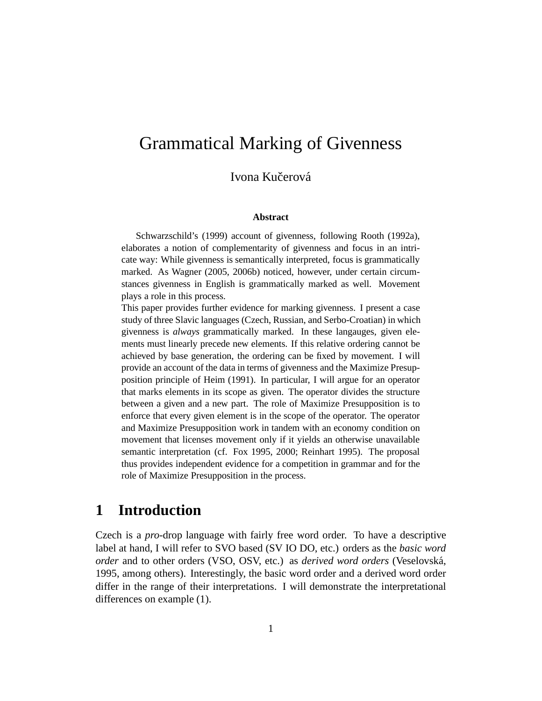# Grammatical Marking of Givenness

### Ivona Kučerová

#### **Abstract**

Schwarzschild's (1999) account of givenness, following Rooth (1992a), elaborates a notion of complementarity of givenness and focus in an intricate way: While givenness is semantically interpreted, focus is grammatically marked. As Wagner (2005, 2006b) noticed, however, under certain circumstances givenness in English is grammatically marked as well. Movement plays a role in this process.

This paper provides further evidence for marking givenness. I present a case study of three Slavic languages (Czech, Russian, and Serbo-Croatian) in which givenness is *always* grammatically marked. In these langauges, given elements must linearly precede new elements. If this relative ordering cannot be achieved by base generation, the ordering can be fixed by movement. I will provide an account of the data in terms of givenness and the Maximize Presupposition principle of Heim (1991). In particular, I will argue for an operator that marks elements in its scope as given. The operator divides the structure between a given and a new part. The role of Maximize Presupposition is to enforce that every given element is in the scope of the operator. The operator and Maximize Presupposition work in tandem with an economy condition on movement that licenses movement only if it yields an otherwise unavailable semantic interpretation (cf. Fox 1995, 2000; Reinhart 1995). The proposal thus provides independent evidence for a competition in grammar and for the role of Maximize Presupposition in the process.

### **1 Introduction**

Czech is a *pro*-drop language with fairly free word order. To have a descriptive label at hand, I will refer to SVO based (SV IO DO, etc.) orders as the *basic word order* and to other orders (VSO, OSV, etc.) as *derived word orders* (Veselovsk´a, 1995, among others). Interestingly, the basic word order and a derived word order differ in the range of their interpretations. I will demonstrate the interpretational differences on example (1).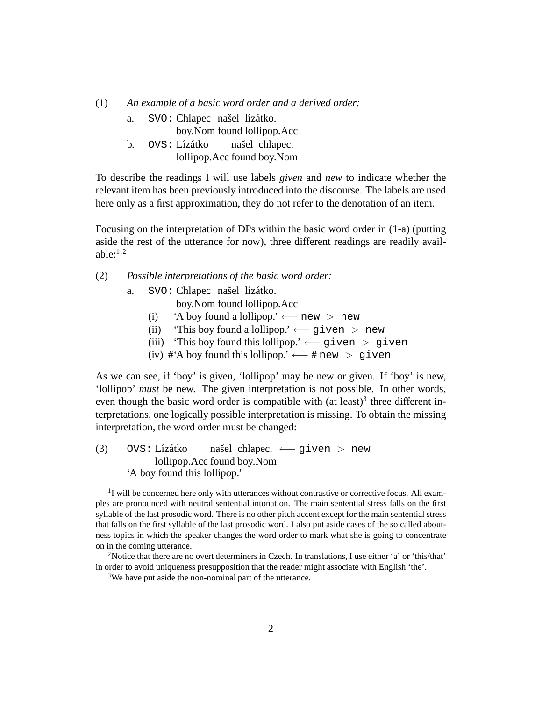(1) *An example of a basic word order and a derived order:*

a. SVO: Chlapec našel lízátko.

boy.Nom found lollipop.Acc

b. OVS: Lízátko lollipop.Acc found boy.Nom našel chlapec.

To describe the readings I will use labels *given* and *new* to indicate whether the relevant item has been previously introduced into the discourse. The labels are used here only as a first approximation, they do not refer to the denotation of an item.

Focusing on the interpretation of DPs within the basic word order in (1-a) (putting aside the rest of the utterance for now), three different readings are readily available: $1,2$ 

(2) *Possible interpretations of the basic word order:*

- a. SVO: Chlapec našel lízátko.
	- boy.Nom found lollipop.Acc
	- (i) 'A boy found a lollipop.' ← $-$  new > new
	- (ii) 'This boy found a lollipop.' ←  $q$ iven > new
	- (iii) 'This boy found this lollipop.' ←− given > given
	- (iv) # $'A$  boy found this lollipop.' ← # new > given

As we can see, if 'boy' is given, 'lollipop' may be new or given. If 'boy' is new, 'lollipop' *must* be new. The given interpretation is not possible. In other words, even though the basic word order is compatible with (at least)<sup>3</sup> three different interpretations, one logically possible interpretation is missing. To obtain the missing interpretation, the word order must be changed:

 $(3)$  OVS: Lízátko lollipop.Acc found boy.Nom našel chlapec. ← given > new 'A boy found this lollipop.'

<sup>&</sup>lt;sup>1</sup>I will be concerned here only with utterances without contrastive or corrective focus. All examples are pronounced with neutral sentential intonation. The main sentential stress falls on the first syllable of the last prosodic word. There is no other pitch accent except for the main sentential stress that falls on the first syllable of the last prosodic word. I also put aside cases of the so called aboutness topics in which the speaker changes the word order to mark what she is going to concentrate on in the coming utterance.

<sup>2</sup>Notice that there are no overt determiners in Czech. In translations, I use either 'a' or 'this/that' in order to avoid uniqueness presupposition that the reader might associate with English 'the'.

<sup>3</sup>We have put aside the non-nominal part of the utterance.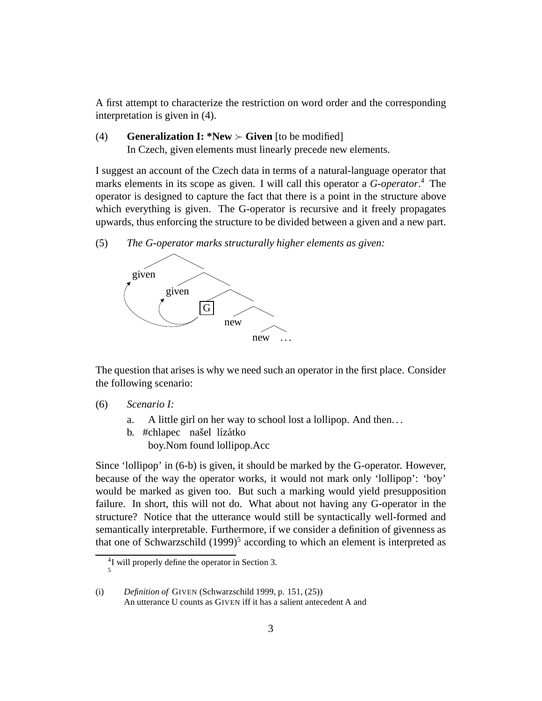A first attempt to characterize the restriction on word order and the corresponding interpretation is given in (4).

### (4) **Generalization I: \*New**  $\succ$  **Given** [to be modified] In Czech, given elements must linearly precede new elements.

I suggest an account of the Czech data in terms of a natural-language operator that marks elements in its scope as given. I will call this operator a *G-operator*. <sup>4</sup> The operator is designed to capture the fact that there is a point in the structure above which everything is given. The G-operator is recursive and it freely propagates upwards, thus enforcing the structure to be divided between a given and a new part.

(5) *The G-operator marks structurally higher elements as given:*



The question that arises is why we need such an operator in the first place. Consider the following scenario:

- (6) *Scenario I:*
	- a. A little girl on her way to school lost a lollipop. And then. . .
	- b. #chlapec našel lízátko boy.Nom found lollipop.Acc

Since 'lollipop' in (6-b) is given, it should be marked by the G-operator. However, because of the way the operator works, it would not mark only 'lollipop': 'boy' would be marked as given too. But such a marking would yield presupposition failure. In short, this will not do. What about not having any G-operator in the structure? Notice that the utterance would still be syntactically well-formed and semantically interpretable. Furthermore, if we consider a definition of givenness as that one of Schwarzschild (1999)<sup>5</sup> according to which an element is interpreted as

<sup>4</sup> I will properly define the operator in Section 3. 5

<sup>(</sup>i) *Definition of* GIVEN (Schwarzschild 1999, p. 151, (25)) An utterance U counts as GIVEN iff it has a salient antecedent A and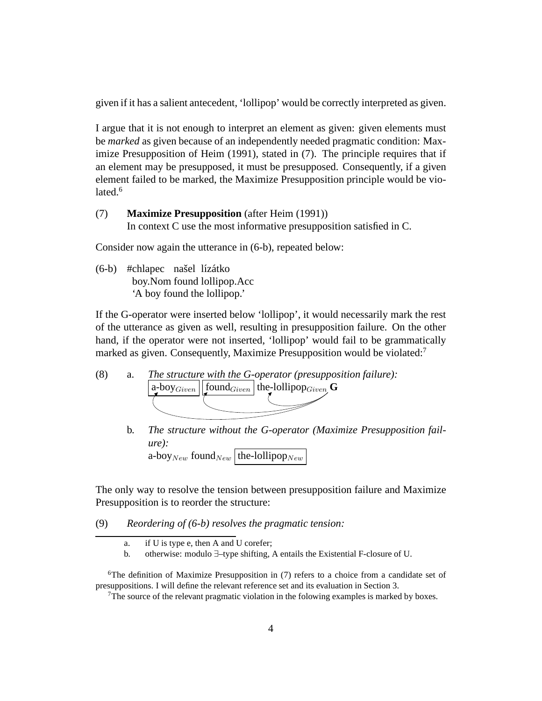given if it has a salient antecedent, 'lollipop' would be correctly interpreted as given.

I argue that it is not enough to interpret an element as given: given elements must be *marked* as given because of an independently needed pragmatic condition: Maximize Presupposition of Heim (1991), stated in (7). The principle requires that if an element may be presupposed, it must be presupposed. Consequently, if a given element failed to be marked, the Maximize Presupposition principle would be violated. $6$ 

(7) **Maximize Presupposition** (after Heim (1991)) In context C use the most informative presupposition satisfied in C.

Consider now again the utterance in (6-b), repeated below:

(6-b) #chlapec našel lízátko boy.Nom found lollipop.Acc 'A boy found the lollipop.'

If the G-operator were inserted below 'lollipop', it would necessarily mark the rest of the utterance as given as well, resulting in presupposition failure. On the other hand, if the operator were not inserted, 'lollipop' would fail to be grammatically marked as given. Consequently, Maximize Presupposition would be violated:<sup>7</sup>



b. *The structure without the G-operator (Maximize Presupposition failure):* a-boy  $_{New}$  found  $_{New}$  [the-lollipop  $_{New}$ 

The only way to resolve the tension between presupposition failure and Maximize Presupposition is to reorder the structure:

(9) *Reordering of (6-b) resolves the pragmatic tension:*

a. if U is type e, then A and U corefer;

b. otherwise: modulo ∃–type shifting, A entails the Existential F-closure of U.

<sup>&</sup>lt;sup>6</sup>The definition of Maximize Presupposition in  $(7)$  refers to a choice from a candidate set of presuppositions. I will define the relevant reference set and its evaluation in Section 3.

<sup>7</sup>The source of the relevant pragmatic violation in the folowing examples is marked by boxes.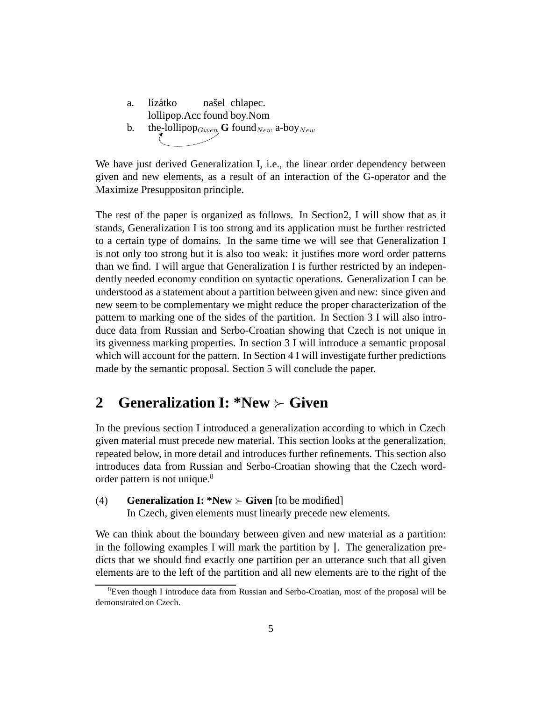a. lízátko lollipop.Acc found boy.Nom našel chlapec. b. the-lollipop<sub>Given</sub> **G** found<sub>New</sub> a-boy<sub>New</sub>

We have just derived Generalization I, i.e., the linear order dependency between given and new elements, as a result of an interaction of the G-operator and the Maximize Presuppositon principle.

The rest of the paper is organized as follows. In Section2, I will show that as it stands, Generalization I is too strong and its application must be further restricted to a certain type of domains. In the same time we will see that Generalization I is not only too strong but it is also too weak: it justifies more word order patterns than we find. I will argue that Generalization I is further restricted by an independently needed economy condition on syntactic operations. Generalization I can be understood as a statement about a partition between given and new: since given and new seem to be complementary we might reduce the proper characterization of the pattern to marking one of the sides of the partition. In Section 3 I will also introduce data from Russian and Serbo-Croatian showing that Czech is not unique in its givenness marking properties. In section 3 I will introduce a semantic proposal which will account for the pattern. In Section 4 I will investigate further predictions made by the semantic proposal. Section 5 will conclude the paper.

## **2 Generalization I: \*New** ≻ **Given**

In the previous section I introduced a generalization according to which in Czech given material must precede new material. This section looks at the generalization, repeated below, in more detail and introduces further refinements. This section also introduces data from Russian and Serbo-Croatian showing that the Czech wordorder pattern is not unique.<sup>8</sup>

(4) **Generalization I: \*New**  $\succ$  **Given** [to be modified] In Czech, given elements must linearly precede new elements.

We can think about the boundary between given and new material as a partition: in the following examples I will mark the partition by  $\parallel$ . The generalization predicts that we should find exactly one partition per an utterance such that all given elements are to the left of the partition and all new elements are to the right of the

<sup>&</sup>lt;sup>8</sup>Even though I introduce data from Russian and Serbo-Croatian, most of the proposal will be demonstrated on Czech.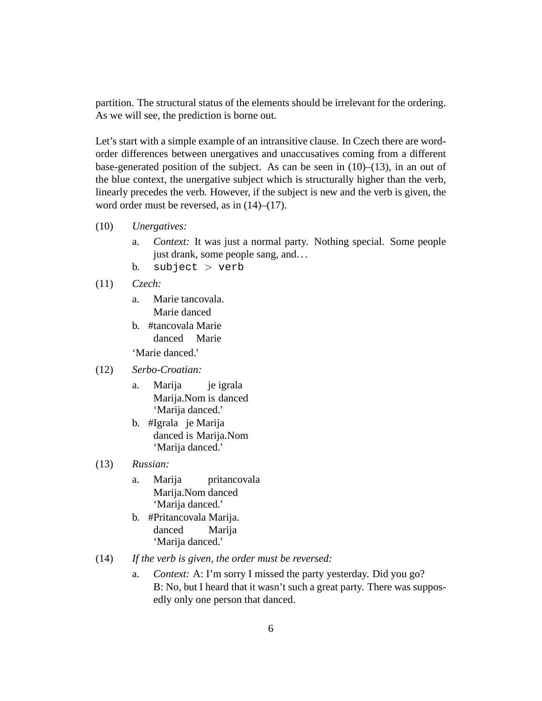partition. The structural status of the elements should be irrelevant for the ordering. As we will see, the prediction is borne out.

Let's start with a simple example of an intransitive clause. In Czech there are wordorder differences between unergatives and unaccusatives coming from a different base-generated position of the subject. As can be seen in  $(10)$ – $(13)$ , in an out of the blue context, the unergative subject which is structurally higher than the verb, linearly precedes the verb. However, if the subject is new and the verb is given, the word order must be reversed, as in  $(14)$ – $(17)$ .

- (10) *Unergatives:*
	- a. *Context:* It was just a normal party. Nothing special. Some people just drank, some people sang, and. . .
	- b. subject  $>$  verb
- (11) *Czech:*
	- a. Marie tancovala. Marie danced
	- b. #tancovala Marie danced Marie 'Marie danced.'

#### (12) *Serbo-Croatian:*

- a. Marija Marija.Nom is danced je igrala 'Marija danced.'
- b. #Igrala je Marija danced is Marija.Nom 'Marija danced.'
- (13) *Russian:*
	- a. Marija Marija.Nom danced pritancovala 'Marija danced.'
	- b. #Pritancovala Marija. danced Marija 'Marija danced.'
- (14) *If the verb is given, the order must be reversed:*
	- a. *Context:* A: I'm sorry I missed the party yesterday. Did you go? B: No, but I heard that it wasn't such a great party. There was supposedly only one person that danced.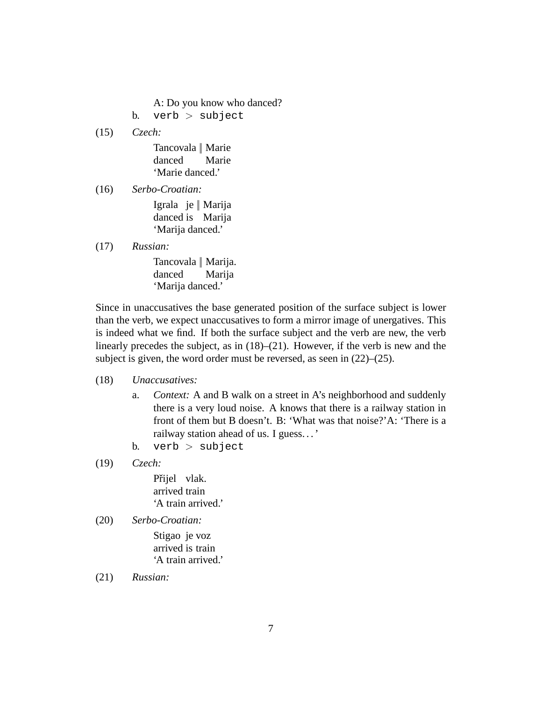A: Do you know who danced?

b. verb  $>$  subject

(15) *Czech:*

Tancovala || Marie danced Marie 'Marie danced.'

(16) *Serbo-Croatian:*

Igrala je || Marija danced is Marija 'Marija danced.'

(17) *Russian:*

Tancovala || Marija. danced Marija 'Marija danced.'

Since in unaccusatives the base generated position of the surface subject is lower than the verb, we expect unaccusatives to form a mirror image of unergatives. This is indeed what we find. If both the surface subject and the verb are new, the verb linearly precedes the subject, as in (18)–(21). However, if the verb is new and the subject is given, the word order must be reversed, as seen in (22)–(25).

- (18) *Unaccusatives:*
	- a. *Context:* A and B walk on a street in A's neighborhood and suddenly there is a very loud noise. A knows that there is a railway station in front of them but B doesn't. B: 'What was that noise?'A: 'There is a railway station ahead of us. I guess. . . '
	- b. verb  $>$  subject
- (19) *Czech:*

Přijel vlak. arrived train 'A train arrived.'

(20) *Serbo-Croatian:*

Stigao je voz arrived is train 'A train arrived.'

(21) *Russian:*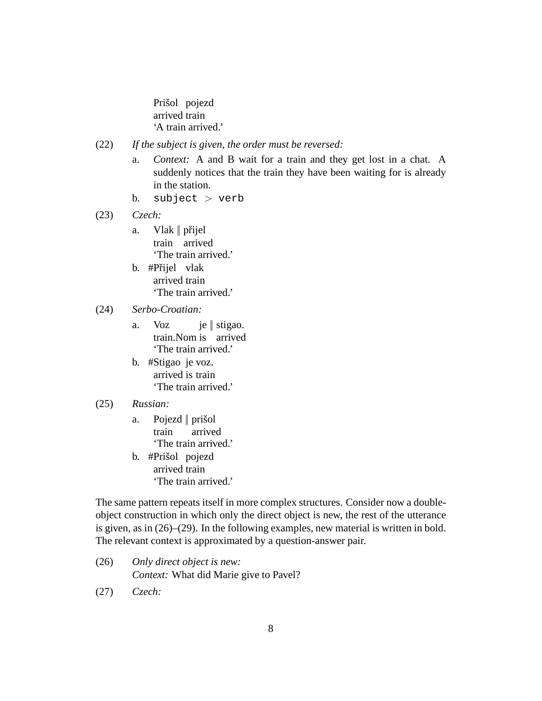Prišol pojezd arrived train 'A train arrived.'

- (22) *If the subject is given, the order must be reversed:*
	- a. *Context:* A and B wait for a train and they get lost in a chat. A suddenly notices that the train they have been waiting for is already in the station.
	- b. subject  $>$  verb
- (23) *Czech:*
	- a. Vlak || přijel train arrived 'The train arrived.'
	- b. #Přijel vlak arrived train 'The train arrived.'

#### (24) *Serbo-Croatian:*

- a. Voz train.Nom is arrived je || stigao. 'The train arrived.'
- b. #Stigao je voz. arrived is train 'The train arrived.'

#### (25) *Russian:*

- a. Pojezd || prišol train arrived 'The train arrived.'
- b. #Prišol pojezd arrived train 'The train arrived.'

The same pattern repeats itself in more complex structures. Consider now a doubleobject construction in which only the direct object is new, the rest of the utterance is given, as in (26)–(29). In the following examples, new material is written in bold. The relevant context is approximated by a question-answer pair.

- (26) *Only direct object is new: Context:* What did Marie give to Pavel?
- (27) *Czech:*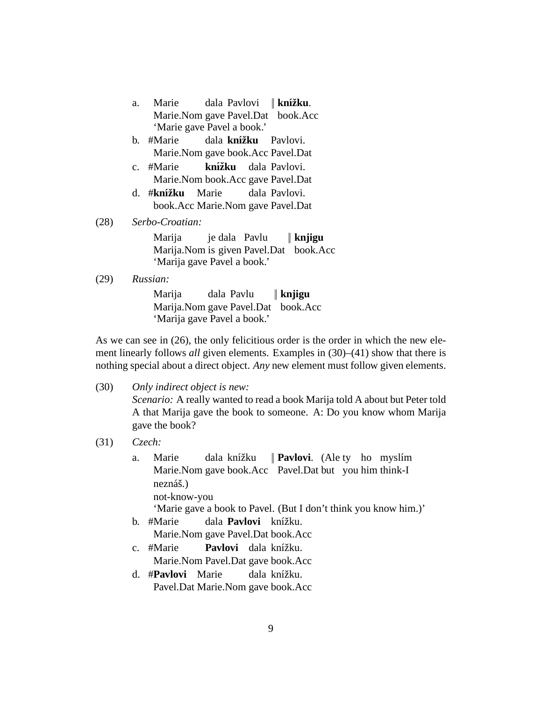- a. Marie Marie.Nom gave Pavel.Dat book.Acc dala Pavlovi || **knížku**. 'Marie gave Pavel a book.'
- b. #Marie Marie.Nom gave book.Acc Pavel.Dat dala knížku Pavlovi.
- c. #Marie Marie.Nom book.Acc gave Pavel.Dat knížku dala Pavlovi.
- d. #**knížku** Marie book.Acc Marie.Nom gave Pavel.Dat dala Pavlovi.

(28) *Serbo-Croatian:*

Marija Marija.Nom is given Pavel.Dat book.Acc je dala Pavlu || **knjigu** 'Marija gave Pavel a book.'

(29) *Russian:*

Marija Marija.Nom gave Pavel.Dat book.Acc dala Pavlu || **knjigu** 'Marija gave Pavel a book.'

As we can see in (26), the only felicitious order is the order in which the new element linearly follows *all* given elements. Examples in (30)–(41) show that there is nothing special about a direct object. *Any* new element must follow given elements.

(30) *Only indirect object is new:*

*Scenario:* A really wanted to read a book Marija told A about but Peter told A that Marija gave the book to someone. A: Do you know whom Marija gave the book?

(31) *Czech:*

a. Marie Marie.Nom gave book.Acc Pavel.Dat but you him think-I dala knížku **Pavlovi.** (Ale ty ho myslím neznáš.) not-know-you 'Marie gave a book to Pavel. (But I don't think you know him.)' b. #Marie Marie.Nom gave Pavel.Dat book.Acc dala **Pavlovi** knížku.

- c. #Marie Marie.Nom Pavel.Dat gave book.Acc Pavlovi dala knížku.
- d. #**Pavlovi** Marie Pavel.Dat Marie.Nom gave book.Acc dala knížku.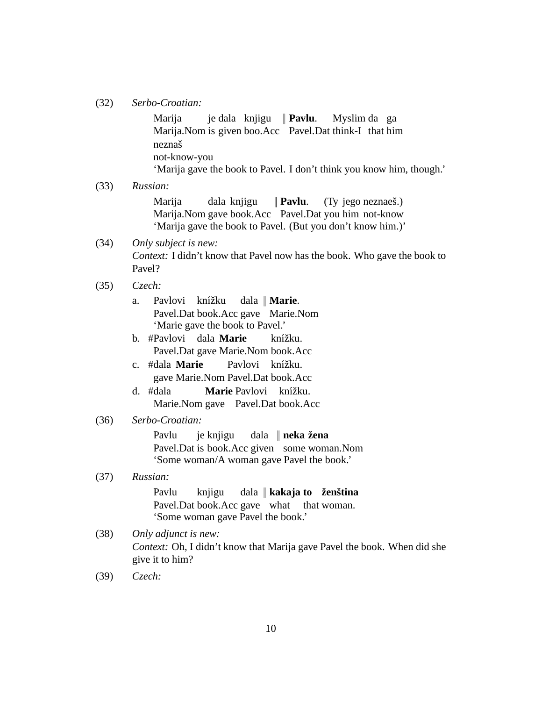(32) *Serbo-Croatian:*

Marija Marija. Nom is given boo. Acc Pavel. Dat think-I that him je dala knjigu || **Pavlu**. Myslim da ga neznaˇs not-know-you 'Marija gave the book to Pavel. I don't think you know him, though.'

(33) *Russian:*

Marija Marija.Nom gave book.Acc Pavel.Dat you him not-know dala knjigu || **Pavlu**. (Ty jego neznaeš.) 'Marija gave the book to Pavel. (But you don't know him.)'

(34) *Only subject is new: Context:* I didn't know that Pavel now has the book. Who gave the book to Pavel?

- (35) *Czech:*
	- a. Pavlovi knížku Pavel.Dat book.Acc gave Marie.Nom dala || **Marie**. 'Marie gave the book to Pavel.'
	- b. #Pavlovi dala **Marie** Pavel.Dat gave Marie.Nom book.Acc knížku.
	- c. #dala **Marie** gave Marie.Nom Pavel.Dat book.Acc Pavlovi knížku.
	- d. #dala Marie.Nom gave Pavel.Dat book.Acc **Marie** Pavlovi knížku.
- (36) *Serbo-Croatian:*

Pavlu Pavel.Dat is book.Acc given some woman.Nom je knjigu dala || **neka zena ˇ** 'Some woman/A woman gave Pavel the book.'

#### (37) *Russian:*

Pavlu Pavel.Dat book.Acc gave what knjigu dala || **kakaja to zen ˇ stina ˇ** that woman. 'Some woman gave Pavel the book.'

- (38) *Only adjunct is new: Context:* Oh, I didn't know that Marija gave Pavel the book. When did she give it to him?
- (39) *Czech:*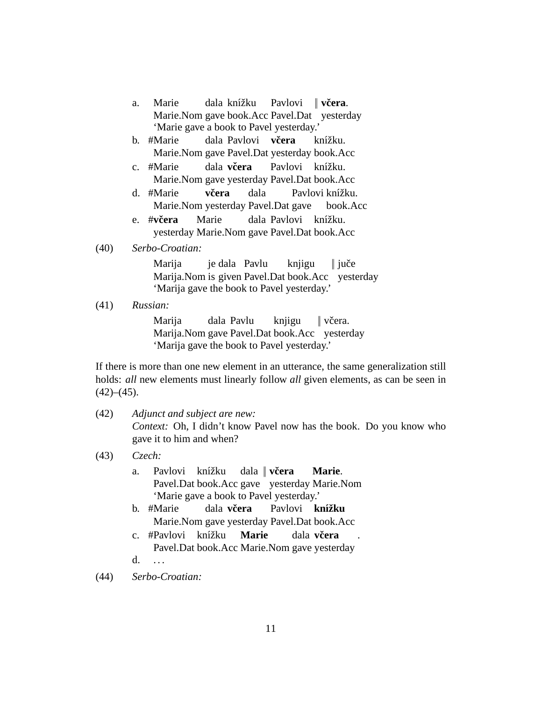- a. Marie Marie.Nom gave book.Acc Pavel.Dat yesterday dala knížku Pavlovi || **vcera ˇ** . 'Marie gave a book to Pavel yesterday.'
- b. #Marie Marie.Nom gave Pavel.Dat yesterday book.Acc dala Pavlovi  $\vec{v}$ **cera** knížku.
- c. #Marie Marie.Nom gave yesterday Pavel.Dat book.Acc dala **vcera ˇ** Pavlovi knížku.
- d. #Marie Marie.Nom yesterday Pavel.Dat gave **vcera ˇ** dala Pavlovi knížku. book.Acc
- e. #**vcera ˇ** yesterday Marie.Nom gave Pavel.Dat book.Acc Marie dala Pavlovi knížku.

#### (40) *Serbo-Croatian:*

Marija Marija.Nom is given Pavel.Dat book.Acc yesterday je dala Pavlu knjigu  $\parallel$  juče 'Marija gave the book to Pavel yesterday.'

(41) *Russian:*

Marija Marija.Nom gave Pavel.Dat book.Acc yesterday dala Pavlu knjigu || vˇcera. 'Marija gave the book to Pavel yesterday.'

If there is more than one new element in an utterance, the same generalization still holds: *all* new elements must linearly follow *all* given elements, as can be seen in  $(42)–(45)$ .

- (42) *Adjunct and subject are new: Context:* Oh, I didn't know Pavel now has the book. Do you know who gave it to him and when?
- (43) *Czech:*
	- a. Pavlovi knížku Pavel.Dat book.Acc gave yesterday Marie.Nom dala || **vcera ˇ Marie**. 'Marie gave a book to Pavel yesterday.'
	- b. #Marie Marie.Nom gave yesterday Pavel.Dat book.Acc dala **vcera ˇ** Pavlovi **knížku**
	- c. #Pavlovi knížku Pavel.Dat book.Acc Marie.Nom gave yesterday **Marie** dala **vcera ˇ**
	- d. . . . .
- (44) *Serbo-Croatian:*

.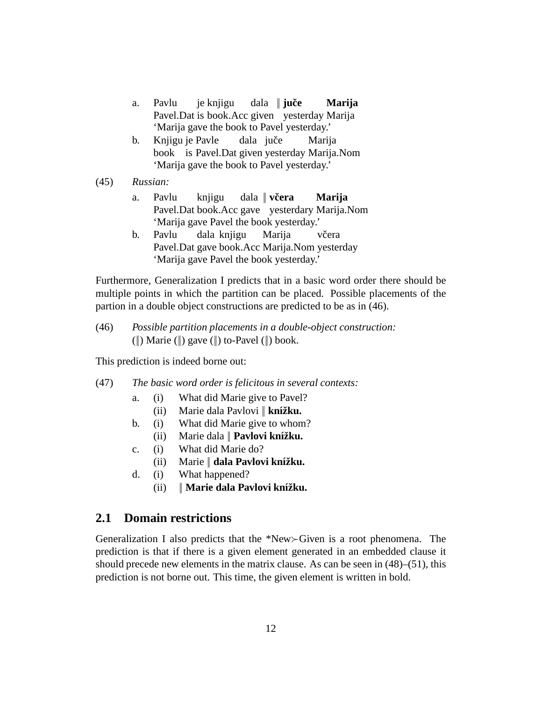- a. Pavlu Pavel.Dat is book.Acc given yesterday Marija je knjigu dala || **juče Marija** 'Marija gave the book to Pavel yesterday.'
- b. Knjigu je Pavle book is Pavel.Dat given yesterday Marija.Nom dala juče Marija 'Marija gave the book to Pavel yesterday.'
- (45) *Russian:*
	- a. Pavlu Pavel.Dat book.Acc gave yesterdary Marija.Nom knjigu dala || **vcera ˇ Marija** 'Marija gave Pavel the book yesterday.'
	- b. Pavlu Pavel.Dat gave book.Acc Marija.Nom yesterday dala knjigu Marija včera 'Marija gave Pavel the book yesterday.'

Furthermore, Generalization I predicts that in a basic word order there should be multiple points in which the partition can be placed. Possible placements of the partion in a double object constructions are predicted to be as in (46).

(46) *Possible partition placements in a double-object construction:* (||) Marie (||) gave (||) to-Pavel (||) book.

This prediction is indeed borne out:

- (47) *The basic word order is felicitous in several contexts:*
	- a. (i) What did Marie give to Pavel?
		- (ii) Marie dala Pavlovi || **knížku.**
	- b. (i) What did Marie give to whom?
		- (ii) Marie dala || **Pavlovi knížku.**
	- c. (i) What did Marie do?
		- $(i)$  Marie || **dala Pavlovi knížku.**
	- d. (i) What happened?
		- $(iii)$  || **Marie dala Pavlovi knížku.**

### **2.1 Domain restrictions**

Generalization I also predicts that the \*New≻Given is a root phenomena. The prediction is that if there is a given element generated in an embedded clause it should precede new elements in the matrix clause. As can be seen in (48)–(51), this prediction is not borne out. This time, the given element is written in bold.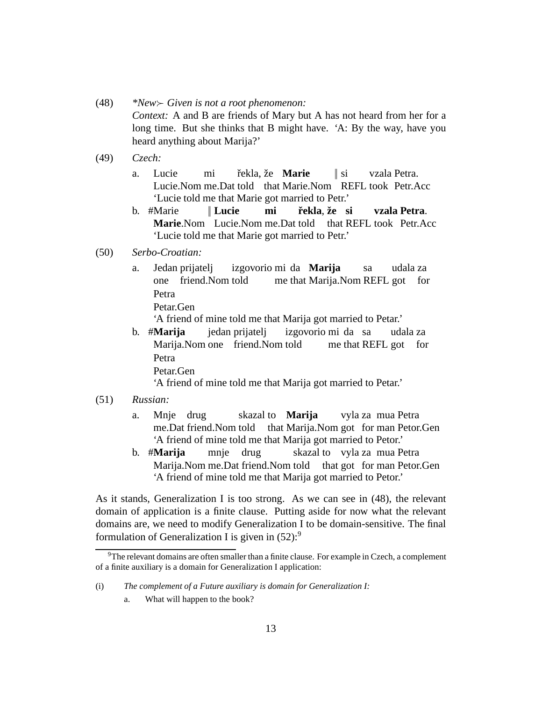- (48) *\*New*≻ *Given is not a root phenomenon: Context:* A and B are friends of Mary but A has not heard from her for a long time. But she thinks that B might have. 'A: By the way, have you heard anything about Marija?'
- (49) *Czech:*
	- a. Lucie Lucie.Nom me.Dat told that Marie.Nom REFL took Petr.Acc mi řekla, že **Marie**  $\|$  si vzala Petra. 'Lucie told me that Marie got married to Petr.'
	- b. #Marie Marie.Nom Lucie.Nom me.Dat told that REFL took Petr.Acc || **Lucie mi rekla ˇ** , **zeˇ si vzala Petra**. 'Lucie told me that Marie got married to Petr.'
- (50) *Serbo-Croatian:*
	- a. Jedan prijatelj one friend.Nom told izgovorio mi da **Marija** me that Marija.Nom REFL got for sa udala za Petra
		- Petar.Gen

'A friend of mine told me that Marija got married to Petar.'

b. #**Marija** Marija.Nom one friend.Nom told jedan prijatelj izgovorio mi da sa me that REFL got for udala za Petra Petar.Gen

'A friend of mine told me that Marija got married to Petar.'

- (51) *Russian:*
	- a. Mnje drug me.Dat friend.Nom told that Marija.Nom got for man Petor.Gen skazal to **Marija** vyla za mua Petra 'A friend of mine told me that Marija got married to Petor.'
	- b. #**Marija** Marija.Nom me.Dat friend.Nom told that got for man Petor.Gen mnje drug skazal to vyla za mua Petra 'A friend of mine told me that Marija got married to Petor.'

As it stands, Generalization I is too strong. As we can see in (48), the relevant domain of application is a finite clause. Putting aside for now what the relevant domains are, we need to modify Generalization I to be domain-sensitive. The final formulation of Generalization I is given in  $(52)$ :<sup>9</sup>

 $9^9$ The relevant domains are often smaller than a finite clause. For example in Czech, a complement of a finite auxiliary is a domain for Generalization I application:

<sup>(</sup>i) *The complement of a Future auxiliary is domain for Generalization I:*

a. What will happen to the book?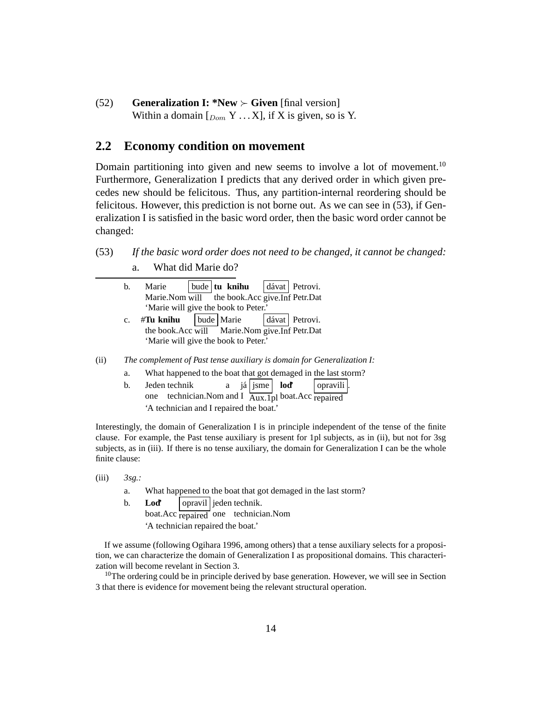(52) **Generalization I: \*New** ≻ **Given** [final version] Within a domain  $[<sub>Dom</sub> Y ... X]$ , if X is given, so is Y.

#### **2.2 Economy condition on movement**

Domain partitioning into given and new seems to involve a lot of movement.<sup>10</sup> Furthermore, Generalization I predicts that any derived order in which given precedes new should be felicitous. Thus, any partition-internal reordering should be felicitous. However, this prediction is not borne out. As we can see in (53), if Generalization I is satisfied in the basic word order, then the basic word order cannot be changed:

- (53) *If the basic word order does not need to be changed, it cannot be changed:*
	- a. What did Marie do?

| b.                                   |  |  | Marie   bude   tu knihu   dávat   Petrovi.    |  |     |  |  |
|--------------------------------------|--|--|-----------------------------------------------|--|-----|--|--|
|                                      |  |  | Marie.Nom will the book.Acc give.Inf Petr.Dat |  |     |  |  |
| 'Marie will give the book to Peter.' |  |  |                                               |  |     |  |  |
|                                      |  |  | المتمار المستحمل والمستما                     |  | . . |  |  |

- c. #**Tu knihu** the book.Acc will Marie.Nom give.Inf Petr.Dat bude Marie dávat | Petrovi. 'Marie will give the book to Peter.'
- (ii) *The complement of Past tense auxiliary is domain for Generalization I:*
	- a. What happened to the boat that got demaged in the last storm?
	- b. Jeden technik one technician. Nom and I  $\overrightarrow{\text{Aux.1}}$  boat. Acc repaired a já *sme* **loď** | opravili | 'A technician and I repaired the boat.'

Interestingly, the domain of Generalization I is in principle independent of the tense of the finite clause. For example, the Past tense auxiliary is present for 1pl subjects, as in (ii), but not for 3sg subjects, as in (iii). If there is no tense auxiliary, the domain for Generalization I can be the whole finite clause:

- (iii) *3sg.:*
	- a. What happened to the boat that got demaged in the last storm?
	- b. **Lod'** boat.Acc repaired one technician.Nom opravil jeden technik.

'A technician repaired the boat.'

If we assume (following Ogihara 1996, among others) that a tense auxiliary selects for a proposition, we can characterize the domain of Generalization I as propositional domains. This characterization will become revelant in Section 3.

 $10$ The ordering could be in principle derived by base generation. However, we will see in Section 3 that there is evidence for movement being the relevant structural operation.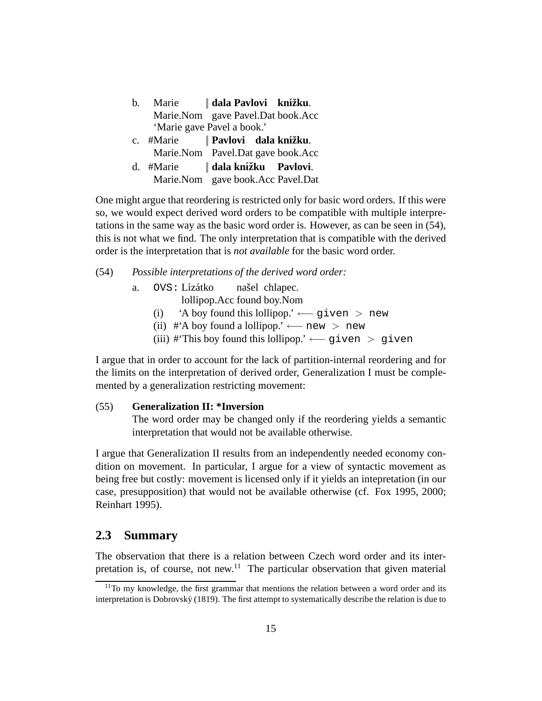| $h_{-}$ | Marie   dala Pavlovi knížku.      |  |
|---------|-----------------------------------|--|
|         | Marie.Nom gave Pavel.Dat book.Acc |  |
|         | 'Marie gave Pavel a book.'        |  |
|         | c. #Marie    Pavlovi dala knížku. |  |
|         | Marie.Nom Pavel.Dat gave book.Acc |  |
|         | d. #Marie   dala knížku Pavlovi.  |  |
|         | Marie.Nom gave book.Acc Pavel.Dat |  |

One might argue that reordering is restricted only for basic word orders. If this were so, we would expect derived word orders to be compatible with multiple interpretations in the same way as the basic word order is. However, as can be seen in (54), this is not what we find. The only interpretation that is compatible with the derived order is the interpretation that is *not available* for the basic word order.

#### (54) *Possible interpretations of the derived word order:*

a. OVS: Lízátko našel chlapec.

lollipop.Acc found boy.Nom

- (i) 'A boy found this lollipop.'  $\leftarrow$  given > new
- (ii) #'A boy found a lollipop.' ← new > new
- (iii) #'This boy found this lollipop.' ← qiven > qiven

I argue that in order to account for the lack of partition-internal reordering and for the limits on the interpretation of derived order, Generalization I must be complemented by a generalization restricting movement:

#### (55) **Generalization II: \*Inversion**

The word order may be changed only if the reordering yields a semantic interpretation that would not be available otherwise.

I argue that Generalization II results from an independently needed economy condition on movement. In particular, I argue for a view of syntactic movement as being free but costly: movement is licensed only if it yields an intepretation (in our case, presupposition) that would not be available otherwise (cf. Fox 1995, 2000; Reinhart 1995).

#### **2.3 Summary**

The observation that there is a relation between Czech word order and its interpretation is, of course, not new.<sup>11</sup> The particular observation that given material

 $11$ To my knowledge, the first grammar that mentions the relation between a word order and its interpretation is Dobrovský (1819). The first attempt to systematically describe the relation is due to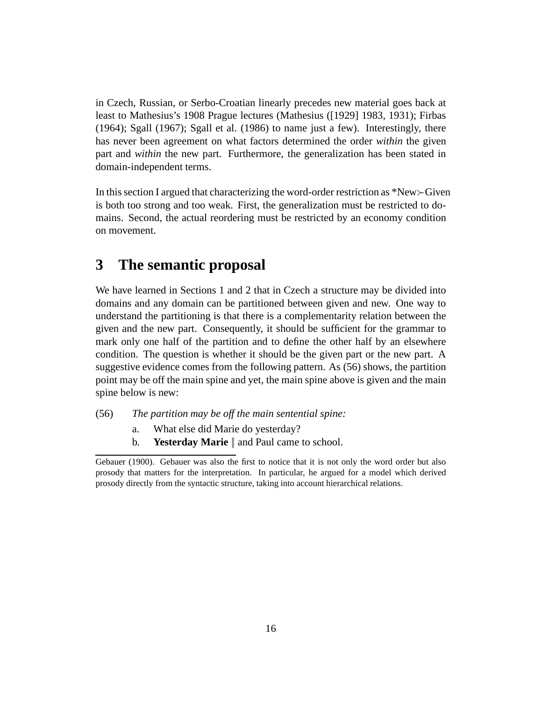in Czech, Russian, or Serbo-Croatian linearly precedes new material goes back at least to Mathesius's 1908 Prague lectures (Mathesius ([1929] 1983, 1931); Firbas (1964); Sgall (1967); Sgall et al. (1986) to name just a few). Interestingly, there has never been agreement on what factors determined the order *within* the given part and *within* the new part. Furthermore, the generalization has been stated in domain-independent terms.

In this section I argued that characterizing the word-order restriction as \*New≻Given is both too strong and too weak. First, the generalization must be restricted to domains. Second, the actual reordering must be restricted by an economy condition on movement.

## **3 The semantic proposal**

We have learned in Sections 1 and 2 that in Czech a structure may be divided into domains and any domain can be partitioned between given and new. One way to understand the partitioning is that there is a complementarity relation between the given and the new part. Consequently, it should be sufficient for the grammar to mark only one half of the partition and to define the other half by an elsewhere condition. The question is whether it should be the given part or the new part. A suggestive evidence comes from the following pattern. As (56) shows, the partition point may be off the main spine and yet, the main spine above is given and the main spine below is new:

- (56) *The partition may be off the main sentential spine:*
	- a. What else did Marie do yesterday?
	- b. **Yesterday Marie** || and Paul came to school.

Gebauer (1900). Gebauer was also the first to notice that it is not only the word order but also prosody that matters for the interpretation. In particular, he argued for a model which derived prosody directly from the syntactic structure, taking into account hierarchical relations.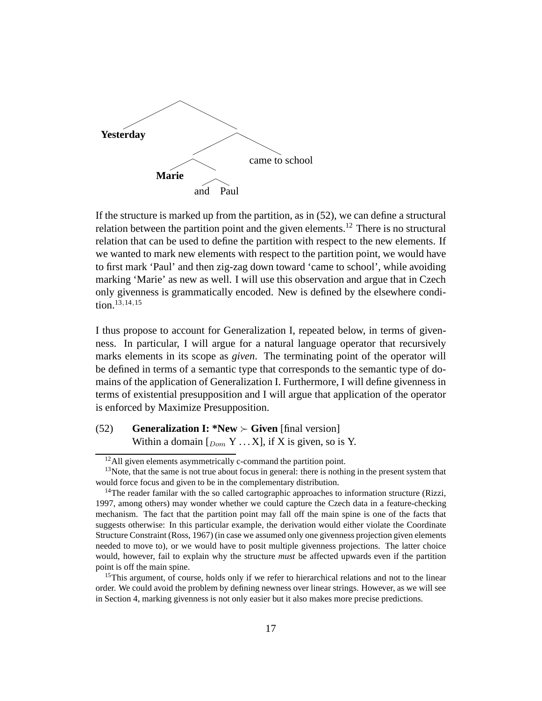

If the structure is marked up from the partition, as in (52), we can define a structural relation between the partition point and the given elements.<sup>12</sup> There is no structural relation that can be used to define the partition with respect to the new elements. If we wanted to mark new elements with respect to the partition point, we would have to first mark 'Paul' and then zig-zag down toward 'came to school', while avoiding marking 'Marie' as new as well. I will use this observation and argue that in Czech only givenness is grammatically encoded. New is defined by the elsewhere condition.<sup>13,14,15</sup>

I thus propose to account for Generalization I, repeated below, in terms of givenness. In particular, I will argue for a natural language operator that recursively marks elements in its scope as *given*. The terminating point of the operator will be defined in terms of a semantic type that corresponds to the semantic type of domains of the application of Generalization I. Furthermore, I will define givenness in terms of existential presupposition and I will argue that application of the operator is enforced by Maximize Presupposition.

(52) **Generalization I: \*New** ≻ **Given** [final version] Within a domain  $[<sub>Dom</sub> Y ... X]$ , if X is given, so is Y.

 $12$ All given elements asymmetrically c-command the partition point.

 $13$ Note, that the same is not true about focus in general: there is nothing in the present system that would force focus and given to be in the complementary distribution.

<sup>&</sup>lt;sup>14</sup>The reader familar with the so called cartographic approaches to information structure (Rizzi, 1997, among others) may wonder whether we could capture the Czech data in a feature-checking mechanism. The fact that the partition point may fall off the main spine is one of the facts that suggests otherwise: In this particular example, the derivation would either violate the Coordinate Structure Constraint (Ross, 1967) (in case we assumed only one givenness projection given elements needed to move to), or we would have to posit multiple givenness projections. The latter choice would, however, fail to explain why the structure *must* be affected upwards even if the partition point is off the main spine.

<sup>&</sup>lt;sup>15</sup>This argument, of course, holds only if we refer to hierarchical relations and not to the linear order. We could avoid the problem by defining newness over linear strings. However, as we will see in Section 4, marking givenness is not only easier but it also makes more precise predictions.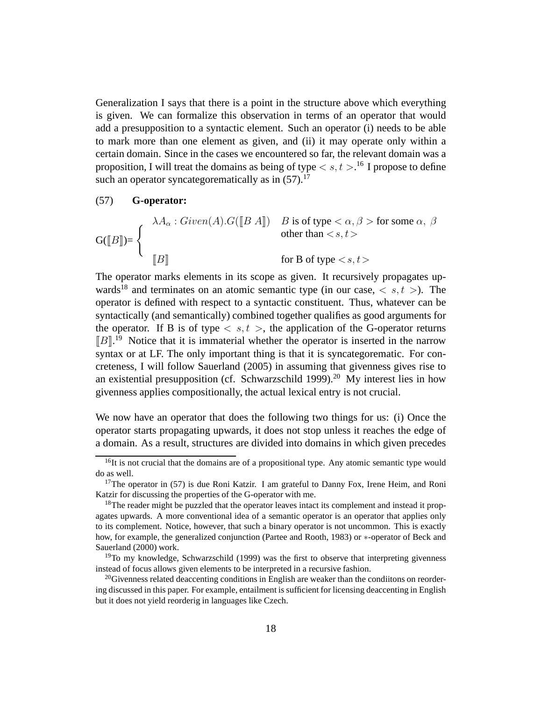Generalization I says that there is a point in the structure above which everything is given. We can formalize this observation in terms of an operator that would add a presupposition to a syntactic element. Such an operator (i) needs to be able to mark more than one element as given, and (ii) it may operate only within a certain domain. Since in the cases we encountered so far, the relevant domain was a proposition, I will treat the domains as being of type  $\lt s, t >$ .<sup>16</sup> I propose to define such an operator syncategorematically as in  $(57)$ .<sup>17</sup>

#### (57) **G-operator:**

$$
G([[B]]) = \begin{cases} \lambda A_{\alpha} : Given(A).G([[B A]]) & B \text{ is of type } < \alpha, \beta > \text{ for some } \alpha, \ \beta \\ & \text{other than } < s, t > \\ & \text{for B of type } < s, t > \end{cases}
$$

The operator marks elements in its scope as given. It recursively propagates upwards<sup>18</sup> and terminates on an atomic semantic type (in our case,  $\langle s, t \rangle$ ). The operator is defined with respect to a syntactic constituent. Thus, whatever can be syntactically (and semantically) combined together qualifies as good arguments for the operator. If B is of type  $\langle s, t \rangle$ , the application of the G-operator returns  $[[B]^{19}$  Notice that it is immaterial whether the operator is inserted in the narrow syntax or at LF. The only important thing is that it is syncategorematic. For concreteness, I will follow Sauerland (2005) in assuming that givenness gives rise to an existential presupposition (cf. Schwarzschild 1999).<sup>20</sup> My interest lies in how givenness applies compositionally, the actual lexical entry is not crucial.

We now have an operator that does the following two things for us: (i) Once the operator starts propagating upwards, it does not stop unless it reaches the edge of a domain. As a result, structures are divided into domains in which given precedes

 $16$ It is not crucial that the domains are of a propositional type. Any atomic semantic type would do as well.

<sup>&</sup>lt;sup>17</sup>The operator in (57) is due Roni Katzir. I am grateful to Danny Fox, Irene Heim, and Roni Katzir for discussing the properties of the G-operator with me.

<sup>&</sup>lt;sup>18</sup>The reader might be puzzled that the operator leaves intact its complement and instead it propagates upwards. A more conventional idea of a semantic operator is an operator that applies only to its complement. Notice, however, that such a binary operator is not uncommon. This is exactly how, for example, the generalized conjunction (Partee and Rooth, 1983) or ∗-operator of Beck and Sauerland (2000) work.

 $19$ To my knowledge, Schwarzschild (1999) was the first to observe that interpreting givenness instead of focus allows given elements to be interpreted in a recursive fashion.

 $^{20}$ Givenness related deaccenting conditions in English are weaker than the conditions on reordering discussed in this paper. For example, entailment is sufficient for licensing deaccenting in English but it does not yield reorderig in languages like Czech.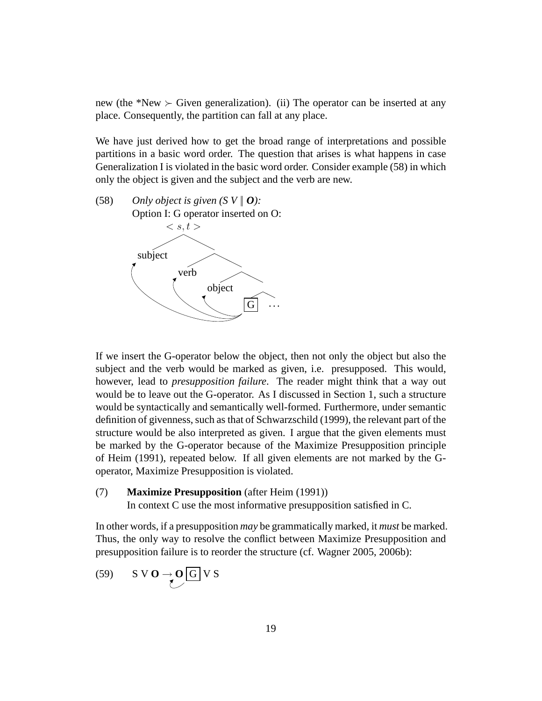new (the \*New  $\succeq$  Given generalization). (ii) The operator can be inserted at any place. Consequently, the partition can fall at any place.

We have just derived how to get the broad range of interpretations and possible partitions in a basic word order. The question that arises is what happens in case Generalization I is violated in the basic word order. Consider example (58) in which only the object is given and the subject and the verb are new.

(58) *Only object is given*  $(SV \mid \boldsymbol{0})$ *:* Option I: G operator inserted on O:  $\langle s,t\rangle$ subject verb object  $\overline{\mathrm{G}}$   $\vert$   $\cdots$ 

If we insert the G-operator below the object, then not only the object but also the subject and the verb would be marked as given, i.e. presupposed. This would, however, lead to *presupposition failure*. The reader might think that a way out would be to leave out the G-operator. As I discussed in Section 1, such a structure would be syntactically and semantically well-formed. Furthermore, under semantic definition of givenness, such as that of Schwarzschild (1999), the relevant part of the structure would be also interpreted as given. I argue that the given elements must be marked by the G-operator because of the Maximize Presupposition principle of Heim (1991), repeated below. If all given elements are not marked by the Goperator, Maximize Presupposition is violated.

(7) **Maximize Presupposition** (after Heim (1991))

In context C use the most informative presupposition satisfied in C.

In other words, if a presupposition *may* be grammatically marked, it *must* be marked. Thus, the only way to resolve the conflict between Maximize Presupposition and presupposition failure is to reorder the structure (cf. Wagner 2005, 2006b):

(59) 
$$
S \vee O \rightarrow O \text{G} \vee S
$$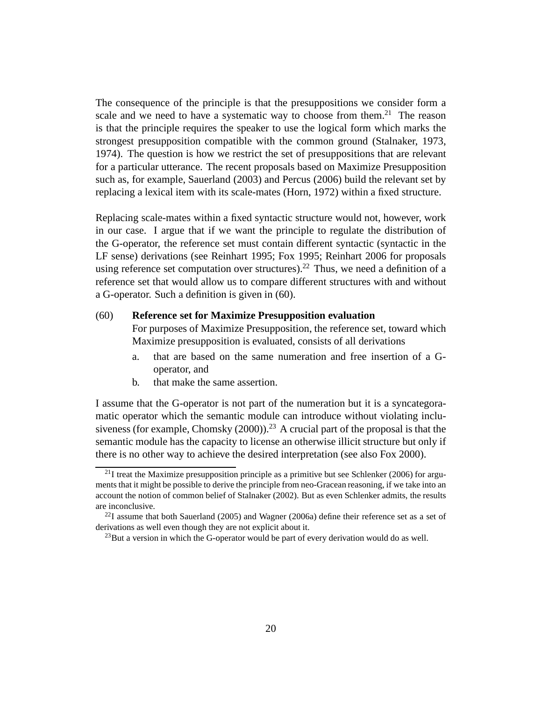The consequence of the principle is that the presuppositions we consider form a scale and we need to have a systematic way to choose from them.<sup>21</sup> The reason is that the principle requires the speaker to use the logical form which marks the strongest presupposition compatible with the common ground (Stalnaker, 1973, 1974). The question is how we restrict the set of presuppositions that are relevant for a particular utterance. The recent proposals based on Maximize Presupposition such as, for example, Sauerland (2003) and Percus (2006) build the relevant set by replacing a lexical item with its scale-mates (Horn, 1972) within a fixed structure.

Replacing scale-mates within a fixed syntactic structure would not, however, work in our case. I argue that if we want the principle to regulate the distribution of the G-operator, the reference set must contain different syntactic (syntactic in the LF sense) derivations (see Reinhart 1995; Fox 1995; Reinhart 2006 for proposals using reference set computation over structures).<sup>22</sup> Thus, we need a definition of a reference set that would allow us to compare different structures with and without a G-operator. Such a definition is given in (60).

#### (60) **Reference set for Maximize Presupposition evaluation**

For purposes of Maximize Presupposition, the reference set, toward which Maximize presupposition is evaluated, consists of all derivations

- a. that are based on the same numeration and free insertion of a Goperator, and
- b. that make the same assertion.

I assume that the G-operator is not part of the numeration but it is a syncategoramatic operator which the semantic module can introduce without violating inclusiveness (for example, Chomsky  $(2000)$ )<sup>23</sup> A crucial part of the proposal is that the semantic module has the capacity to license an otherwise illicit structure but only if there is no other way to achieve the desired interpretation (see also Fox 2000).

 $^{21}$ I treat the Maximize presupposition principle as a primitive but see Schlenker (2006) for arguments that it might be possible to derive the principle from neo-Gracean reasoning, if we take into an account the notion of common belief of Stalnaker (2002). But as even Schlenker admits, the results are inconclusive.

 $^{22}I$  assume that both Sauerland (2005) and Wagner (2006a) define their reference set as a set of derivations as well even though they are not explicit about it.

 $^{23}$ But a version in which the G-operator would be part of every derivation would do as well.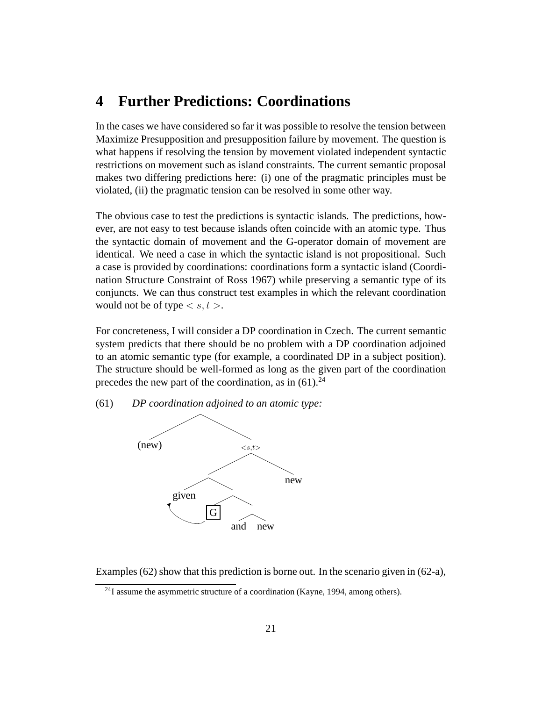### **4 Further Predictions: Coordinations**

In the cases we have considered so far it was possible to resolve the tension between Maximize Presupposition and presupposition failure by movement. The question is what happens if resolving the tension by movement violated independent syntactic restrictions on movement such as island constraints. The current semantic proposal makes two differing predictions here: (i) one of the pragmatic principles must be violated, (ii) the pragmatic tension can be resolved in some other way.

The obvious case to test the predictions is syntactic islands. The predictions, however, are not easy to test because islands often coincide with an atomic type. Thus the syntactic domain of movement and the G-operator domain of movement are identical. We need a case in which the syntactic island is not propositional. Such a case is provided by coordinations: coordinations form a syntactic island (Coordination Structure Constraint of Ross 1967) while preserving a semantic type of its conjuncts. We can thus construct test examples in which the relevant coordination would not be of type  $\langle s, t \rangle$ .

For concreteness, I will consider a DP coordination in Czech. The current semantic system predicts that there should be no problem with a DP coordination adjoined to an atomic semantic type (for example, a coordinated DP in a subject position). The structure should be well-formed as long as the given part of the coordination precedes the new part of the coordination, as in  $(61)$ <sup>24</sup>

(61) *DP coordination adjoined to an atomic type:*



Examples (62) show that this prediction is borne out. In the scenario given in (62-a),

 $^{24}$ I assume the asymmetric structure of a coordination (Kayne, 1994, among others).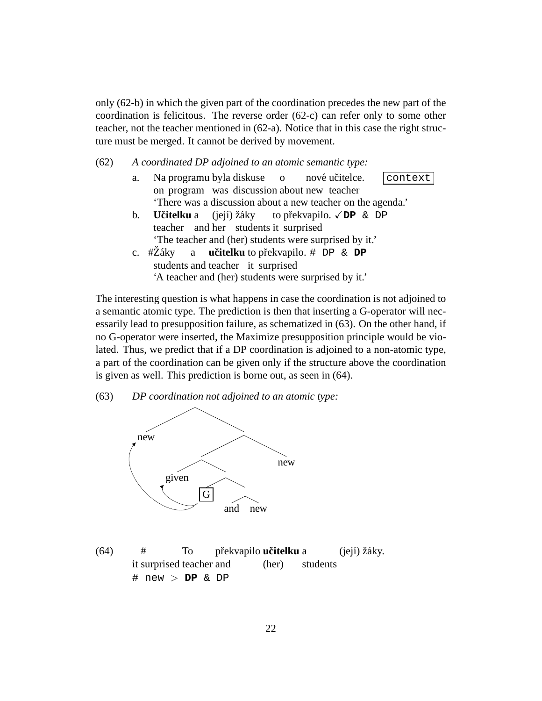only (62-b) in which the given part of the coordination precedes the new part of the coordination is felicitous. The reverse order (62-c) can refer only to some other teacher, not the teacher mentioned in (62-a). Notice that in this case the right structure must be merged. It cannot be derived by movement.

(62) *A coordinated DP adjoined to an atomic semantic type:*

| a.             | Na programu byla diskuse o nové učitelce.                      | context |
|----------------|----------------------------------------------------------------|---------|
|                | on program was discussion about new teacher                    |         |
|                | 'There was a discussion about a new teacher on the agenda.'    |         |
| $\mathbf{b}$ . | <b>Učitelku</b> a (její) žáky to překvapilo. $\sqrt{DP}$ & DP  |         |
|                | teacher and her students it surprised                          |         |
|                | 'The teacher and (her) students were surprised by it.'         |         |
| $c_{\cdot}$    | $\#Z$ áky a <b>učitelku</b> to překvapilo. $\#$ DP & <b>DP</b> |         |
|                | students and teacher it surprised                              |         |
|                | 'A teacher and (her) students were surprised by it.'           |         |

The interesting question is what happens in case the coordination is not adjoined to a semantic atomic type. The prediction is then that inserting a G-operator will necessarily lead to presupposition failure, as schematized in (63). On the other hand, if no G-operator were inserted, the Maximize presupposition principle would be violated. Thus, we predict that if a DP coordination is adjoined to a non-atomic type, a part of the coordination can be given only if the structure above the coordination is given as well. This prediction is borne out, as seen in (64).

(63) *DP coordination not adjoined to an atomic type:*



(64) it surprised teacher and # To překvapilo **učitelku** a (her) students (její) žáky. # new > **DP** & DP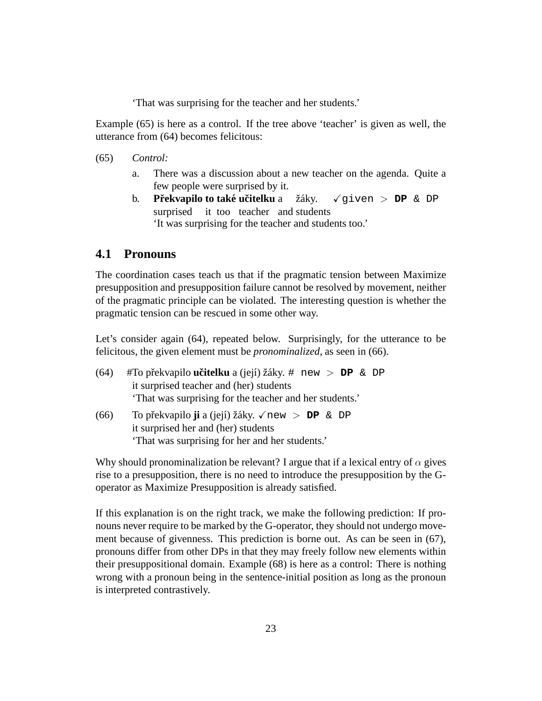'That was surprising for the teacher and her students.'

Example (65) is here as a control. If the tree above 'teacher' is given as well, the utterance from (64) becomes felicitous:

- (65) *Control:*
	- a. There was a discussion about a new teacher on the agenda. Quite a few people were surprised by it.
	- **b.** Překvapilo to také učitelku a surprised it too teacher and students žáky. Xgiven > **DP** & DP 'It was surprising for the teacher and students too.'

### **4.1 Pronouns**

The coordination cases teach us that if the pragmatic tension between Maximize presupposition and presupposition failure cannot be resolved by movement, neither of the pragmatic principle can be violated. The interesting question is whether the pragmatic tension can be rescued in some other way.

Let's consider again (64), repeated below. Surprisingly, for the utterance to be felicitous, the given element must be *pronominalized*, as seen in (66).

- (64) #To pˇrekvapilo **ucitelku ˇ** a (jej´ı) ˇz´aky. # new > **DP** & DP it surprised teacher and (her) students 'That was surprising for the teacher and her students.'
- (66) To pˇrekvapilo **ji** a (jej´ı) ˇz´aky. Xnew > **DP** & DP it surprised her and (her) students 'That was surprising for her and her students.'

Why should pronominalization be relevant? I argue that if a lexical entry of  $\alpha$  gives rise to a presupposition, there is no need to introduce the presupposition by the Goperator as Maximize Presupposition is already satisfied.

If this explanation is on the right track, we make the following prediction: If pronouns never require to be marked by the G-operator, they should not undergo movement because of givenness. This prediction is borne out. As can be seen in (67), pronouns differ from other DPs in that they may freely follow new elements within their presuppositional domain. Example (68) is here as a control: There is nothing wrong with a pronoun being in the sentence-initial position as long as the pronoun is interpreted contrastively.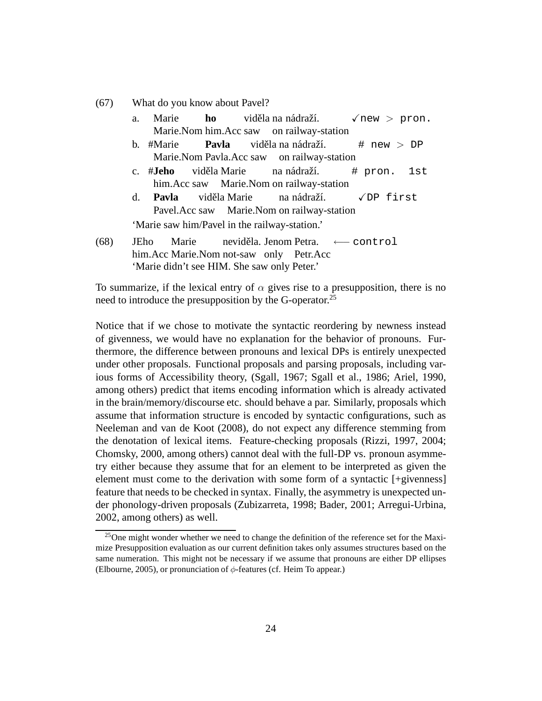(67) What do you know about Pavel?

- a. Marie Marie.Nom him.Acc saw **ho** viděla na nádraží. on railway-station  $\sqrt{new} >$  pron. b. #Marie Marie.Nom Pavla.Acc saw **Pavla** viděla na nádraží. on railway-station  $# new > DP$ c. #**Jeho** him.Acc saw Marie.Nom on railway-station viděla Marie na nádraží. # pron. 1st d. **Pavla** Pavel.Acc saw viděla Marie Marie.Nom on railway-station na nádraží.  $\sqrt{DP}$  first 'Marie saw him/Pavel in the railway-station.'
- (68) JEho him.Acc Marie.Nom not-saw only Petr.Acc Marie neviděla. Jenom Petra. ← control 'Marie didn't see HIM. She saw only Peter.'

To summarize, if the lexical entry of  $\alpha$  gives rise to a presupposition, there is no need to introduce the presupposition by the G-operator.<sup>25</sup>

Notice that if we chose to motivate the syntactic reordering by newness instead of givenness, we would have no explanation for the behavior of pronouns. Furthermore, the difference between pronouns and lexical DPs is entirely unexpected under other proposals. Functional proposals and parsing proposals, including various forms of Accessibility theory, (Sgall, 1967; Sgall et al., 1986; Ariel, 1990, among others) predict that items encoding information which is already activated in the brain/memory/discourse etc. should behave a par. Similarly, proposals which assume that information structure is encoded by syntactic configurations, such as Neeleman and van de Koot (2008), do not expect any difference stemming from the denotation of lexical items. Feature-checking proposals (Rizzi, 1997, 2004; Chomsky, 2000, among others) cannot deal with the full-DP vs. pronoun asymmetry either because they assume that for an element to be interpreted as given the element must come to the derivation with some form of a syntactic [+givenness] feature that needs to be checked in syntax. Finally, the asymmetry is unexpected under phonology-driven proposals (Zubizarreta, 1998; Bader, 2001; Arregui-Urbina, 2002, among others) as well.

 $^{25}$ One might wonder whether we need to change the definition of the reference set for the Maximize Presupposition evaluation as our current definition takes only assumes structures based on the same numeration. This might not be necessary if we assume that pronouns are either DP ellipses (Elbourne, 2005), or pronunciation of  $\phi$ -features (cf. Heim To appear.)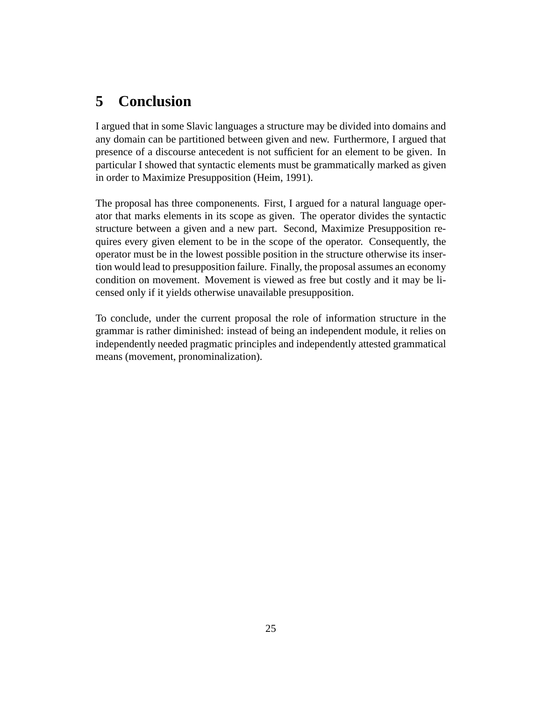## **5 Conclusion**

I argued that in some Slavic languages a structure may be divided into domains and any domain can be partitioned between given and new. Furthermore, I argued that presence of a discourse antecedent is not sufficient for an element to be given. In particular I showed that syntactic elements must be grammatically marked as given in order to Maximize Presupposition (Heim, 1991).

The proposal has three componenents. First, I argued for a natural language operator that marks elements in its scope as given. The operator divides the syntactic structure between a given and a new part. Second, Maximize Presupposition requires every given element to be in the scope of the operator. Consequently, the operator must be in the lowest possible position in the structure otherwise its insertion would lead to presupposition failure. Finally, the proposal assumes an economy condition on movement. Movement is viewed as free but costly and it may be licensed only if it yields otherwise unavailable presupposition.

To conclude, under the current proposal the role of information structure in the grammar is rather diminished: instead of being an independent module, it relies on independently needed pragmatic principles and independently attested grammatical means (movement, pronominalization).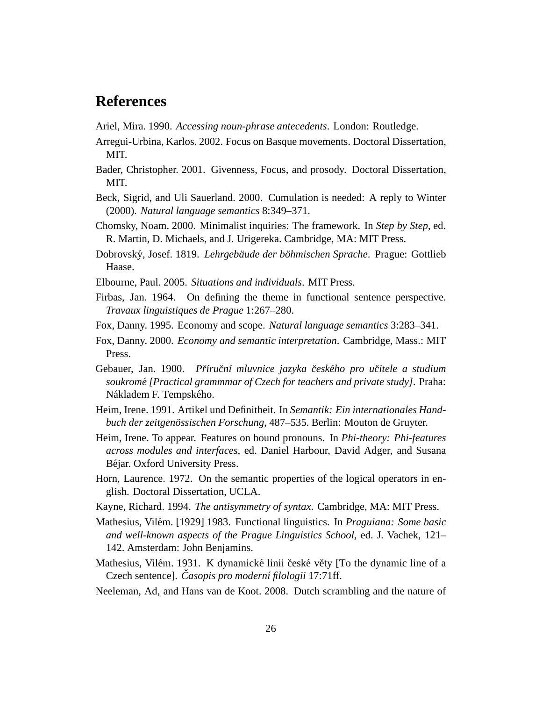## **References**

- Ariel, Mira. 1990. *Accessing noun-phrase antecedents*. London: Routledge.
- Arregui-Urbina, Karlos. 2002. Focus on Basque movements. Doctoral Dissertation, MIT.
- Bader, Christopher. 2001. Givenness, Focus, and prosody. Doctoral Dissertation, MIT.
- Beck, Sigrid, and Uli Sauerland. 2000. Cumulation is needed: A reply to Winter (2000). *Natural language semantics* 8:349–371.
- Chomsky, Noam. 2000. Minimalist inquiries: The framework. In *Step by Step*, ed. R. Martin, D. Michaels, and J. Urigereka. Cambridge, MA: MIT Press.
- Dobrovsk´y, Josef. 1819. *Lehrgebaude der b ¨ ohmischen Sprache ¨* . Prague: Gottlieb Haase.
- Elbourne, Paul. 2005. *Situations and individuals*. MIT Press.
- Firbas, Jan. 1964. On defining the theme in functional sentence perspective. *Travaux linguistiques de Prague* 1:267–280.
- Fox, Danny. 1995. Economy and scope. *Natural language semantics* 3:283–341.
- Fox, Danny. 2000. *Economy and semantic interpretation*. Cambridge, Mass.: MIT Press.
- Gebauer, Jan. 1900. *Prˇ´ırucnˇ ´ı mluvnice jazyka cesk ˇ eho pro u ´ citele a studium ˇ soukromé [Practical grammmar of Czech for teachers and private study]. Praha:* Nákladem F. Tempského.
- Heim, Irene. 1991. Artikel und Definitheit. In *Semantik: Ein internationales Handbuch der zeitgenössischen Forschung*, 487–535. Berlin: Mouton de Gruyter.
- Heim, Irene. To appear. Features on bound pronouns. In *Phi-theory: Phi-features across modules and interfaces*, ed. Daniel Harbour, David Adger, and Susana Béjar. Oxford University Press.
- Horn, Laurence. 1972. On the semantic properties of the logical operators in english. Doctoral Dissertation, UCLA.
- Kayne, Richard. 1994. *The antisymmetry of syntax*. Cambridge, MA: MIT Press.
- Mathesius, Vil´em. [1929] 1983. Functional linguistics. In *Praguiana: Some basic and well-known aspects of the Prague Linguistics School*, ed. J. Vachek, 121– 142. Amsterdam: John Benjamins.
- Mathesius, Vilém. 1931. K dynamické linii české věty [To the dynamic line of a Czech sentence]. *Casopis pro modern ˇ ´ı filologii* 17:71ff.
- Neeleman, Ad, and Hans van de Koot. 2008. Dutch scrambling and the nature of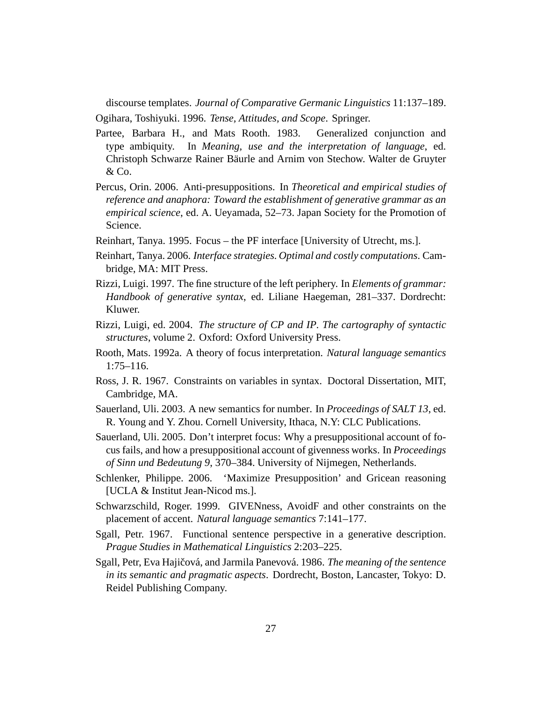discourse templates. *Journal of Comparative Germanic Linguistics* 11:137–189.

Ogihara, Toshiyuki. 1996. *Tense, Attitudes, and Scope*. Springer.

- Partee, Barbara H., and Mats Rooth. 1983. Generalized conjunction and type ambiquity. In *Meaning, use and the interpretation of language*, ed. Christoph Schwarze Rainer Bäurle and Arnim von Stechow. Walter de Gruyter & Co.
- Percus, Orin. 2006. Anti-presuppositions. In *Theoretical and empirical studies of reference and anaphora: Toward the establishment of generative grammar as an empirical science*, ed. A. Ueyamada, 52–73. Japan Society for the Promotion of Science.
- Reinhart, Tanya. 1995. Focus the PF interface [University of Utrecht, ms.].
- Reinhart, Tanya. 2006. *Interface strategies. Optimal and costly computations*. Cambridge, MA: MIT Press.
- Rizzi, Luigi. 1997. The fine structure of the left periphery. In *Elements of grammar: Handbook of generative syntax*, ed. Liliane Haegeman, 281–337. Dordrecht: Kluwer.
- Rizzi, Luigi, ed. 2004. *The structure of CP and IP. The cartography of syntactic structures*, volume 2. Oxford: Oxford University Press.
- Rooth, Mats. 1992a. A theory of focus interpretation. *Natural language semantics* 1:75–116.
- Ross, J. R. 1967. Constraints on variables in syntax. Doctoral Dissertation, MIT, Cambridge, MA.
- Sauerland, Uli. 2003. A new semantics for number. In *Proceedings of SALT 13*, ed. R. Young and Y. Zhou. Cornell University, Ithaca, N.Y: CLC Publications.
- Sauerland, Uli. 2005. Don't interpret focus: Why a presuppositional account of focus fails, and how a presuppositional account of givenness works. In *Proceedings of Sinn und Bedeutung 9*, 370–384. University of Nijmegen, Netherlands.
- Schlenker, Philippe. 2006. 'Maximize Presupposition' and Gricean reasoning [UCLA & Institut Jean-Nicod ms.].
- Schwarzschild, Roger. 1999. GIVENness, AvoidF and other constraints on the placement of accent. *Natural language semantics* 7:141–177.
- Sgall, Petr. 1967. Functional sentence perspective in a generative description. *Prague Studies in Mathematical Linguistics* 2:203–225.
- Sgall, Petr, Eva Hajičová, and Jarmila Panevová. 1986. *The meaning of the sentence in its semantic and pragmatic aspects*. Dordrecht, Boston, Lancaster, Tokyo: D. Reidel Publishing Company.